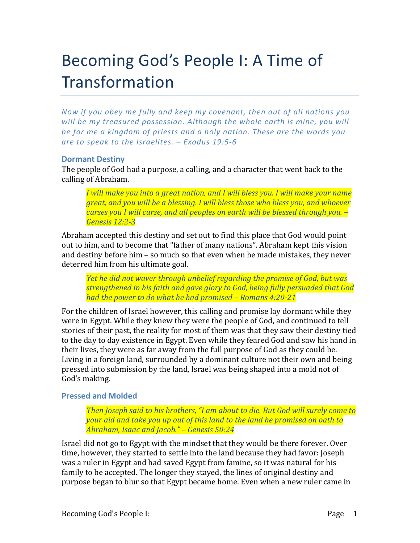# Becoming God's People I: A Time of Transformation

*Now if you obey me fully and keep my covenant, then out of all nations you will* be my treasured possession. Although the whole earth is mine, you will *be for me a kingdom of priests and a holy nation. These are the words you are to speak to the Israelites. – Exodus 19:5-6*

## **Dormant Destiny**

The people of God had a purpose, a calling, and a character that went back to the calling of Abraham.

*I* will make you into a great nation, and I will bless you. I will make your name *great, and you will be a blessing. I will bless those who bless you, and whoever curses you I will curse, and all peoples on earth will be blessed through you.* – *Genesis 12:2-3*

Abraham accepted this destiny and set out to find this place that God would point out to him, and to become that "father of many nations". Abraham kept this vision and destiny before him – so much so that even when he made mistakes, they never deterred him from his ultimate goal.

*Yet he did not waver through unbelief regarding the promise of God, but was* **strengthened in his faith and gave glory to God, being fully persuaded that God** *had the power to do what he had promised – Romans 4:20-21* 

For the children of Israel however, this calling and promise lay dormant while they were in Egypt. While they knew they were the people of God, and continued to tell stories of their past, the reality for most of them was that they saw their destiny tied to the day to day existence in Egypt. Even while they feared God and saw his hand in their lives, they were as far away from the full purpose of God as they could be. Living in a foreign land, surrounded by a dominant culture not their own and being pressed into submission by the land, Israel was being shaped into a mold not of God's making.

## **Pressed and Molded**

*Then Joseph said to his brothers, "I am about to die. But God will surely come to your aid and take you up out of this land to the land he promised on oath to Abraham, Isaac and Jacob." – Genesis 50:24*

Israel did not go to Egypt with the mindset that they would be there forever. Over time, however, they started to settle into the land because they had favor: Joseph was a ruler in Egypt and had saved Egypt from famine, so it was natural for his family to be accepted. The longer they stayed, the lines of original destiny and purpose began to blur so that Egypt became home. Even when a new ruler came in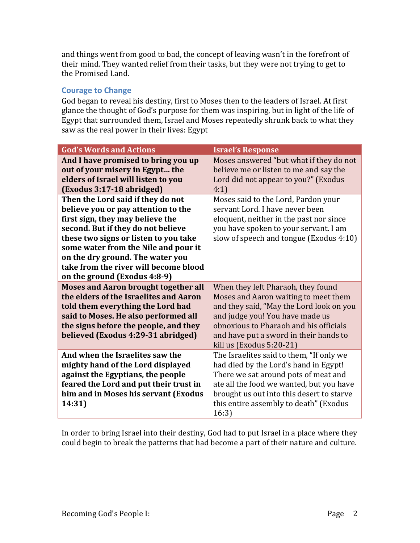and things went from good to bad, the concept of leaving wasn't in the forefront of their mind. They wanted relief from their tasks, but they were not trying to get to the Promised Land.

## **Courage to Change**

God began to reveal his destiny, first to Moses then to the leaders of Israel. At first glance the thought of God's purpose for them was inspiring, but in light of the life of Egypt that surrounded them, Israel and Moses repeatedly shrunk back to what they saw as the real power in their lives: Egypt

| <b>God's Words and Actions</b>                                                                                                                                                                                                                                                                                                                   | <b>Israel's Response</b>                                                                                                                                                                                                                                                    |
|--------------------------------------------------------------------------------------------------------------------------------------------------------------------------------------------------------------------------------------------------------------------------------------------------------------------------------------------------|-----------------------------------------------------------------------------------------------------------------------------------------------------------------------------------------------------------------------------------------------------------------------------|
| And I have promised to bring you up<br>out of your misery in Egypt the<br>elders of Israel will listen to you<br>(Exodus 3:17-18 abridged)                                                                                                                                                                                                       | Moses answered "but what if they do not<br>believe me or listen to me and say the<br>Lord did not appear to you?" (Exodus<br>4:1)                                                                                                                                           |
| Then the Lord said if they do not<br>believe you or pay attention to the<br>first sign, they may believe the<br>second. But if they do not believe<br>these two signs or listen to you take<br>some water from the Nile and pour it<br>on the dry ground. The water you<br>take from the river will become blood<br>on the ground (Exodus 4:8-9) | Moses said to the Lord, Pardon your<br>servant Lord. I have never been<br>eloquent, neither in the past nor since<br>you have spoken to your servant. I am<br>slow of speech and tongue (Exodus 4:10)                                                                       |
| <b>Moses and Aaron brought together all</b><br>the elders of the Israelites and Aaron<br>told them everything the Lord had<br>said to Moses. He also performed all<br>the signs before the people, and they<br>believed (Exodus 4:29-31 abridged)                                                                                                | When they left Pharaoh, they found<br>Moses and Aaron waiting to meet them<br>and they said, "May the Lord look on you<br>and judge you! You have made us<br>obnoxious to Pharaoh and his officials<br>and have put a sword in their hands to<br>kill us $(Exodus 5:20-21)$ |
| And when the Israelites saw the<br>mighty hand of the Lord displayed<br>against the Egyptians, the people<br>feared the Lord and put their trust in<br>him and in Moses his servant (Exodus<br>14:31)                                                                                                                                            | The Israelites said to them, "If only we<br>had died by the Lord's hand in Egypt!<br>There we sat around pots of meat and<br>ate all the food we wanted, but you have<br>brought us out into this desert to starve<br>this entire assembly to death" (Exodus<br>16:3)       |

In order to bring Israel into their destiny, God had to put Israel in a place where they could begin to break the patterns that had become a part of their nature and culture.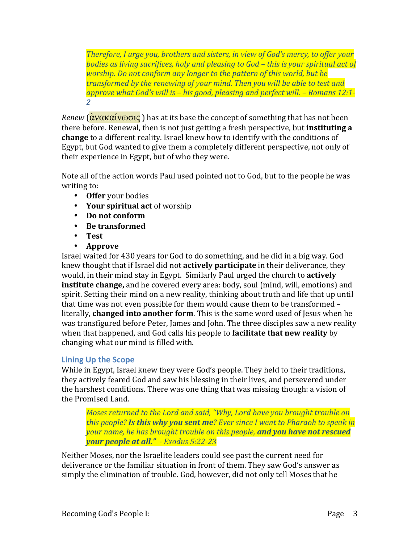*Therefore, I urge you, brothers and sisters, in view of God's mercy, to offer your bodies as living sacrifices, holy and pleasing to God – this is your spiritual act of worship. Do not conform any longer to the pattern of this world, but be transformed by the renewing of your mind. Then you will be able to test and* approve what God's will is – his good, pleasing and perfect will. – Romans 12:1-*2*

*Renew* (**άνακαίνωσις**) has at its base the concept of something that has not been there before. Renewal, then is not just getting a fresh perspective, but **instituting a change** to a different reality. Israel knew how to identify with the conditions of Egypt, but God wanted to give them a completely different perspective, not only of their experience in Egypt, but of who they were.

Note all of the action words Paul used pointed not to God, but to the people he was writing to:

- Offer your bodies
- Your spiritual act of worship
- Do not conform
- **Be transformed**
- **Test**
- **Approve**

Israel waited for 430 years for God to do something, and he did in a big way. God knew thought that if Israel did not **actively participate** in their deliverance, they would, in their mind stay in Egypt. Similarly Paul urged the church to **actively institute change,** and he covered every area: body, soul (mind, will, emotions) and spirit. Setting their mind on a new reality, thinking about truth and life that up until that time was not even possible for them would cause them to be transformed literally, **changed into another form**. This is the same word used of Jesus when he was transfigured before Peter, James and John. The three disciples saw a new reality when that happened, and God calls his people to **facilitate that new reality** by changing what our mind is filled with.

# **Lining Up the Scope**

While in Egypt, Israel knew they were God's people. They held to their traditions, they actively feared God and saw his blessing in their lives, and persevered under the harshest conditions. There was one thing that was missing though: a vision of the Promised Land.

*Moses returned to the Lord and said, "Why, Lord have you brought trouble on this people?* **Is this why you sent me**? *Ever since I went to Pharaoh to speak in vour name, he has brought trouble on this people, and you have not rescued your people at all." - Exodus 5:22-23*

Neither Moses, nor the Israelite leaders could see past the current need for deliverance or the familiar situation in front of them. They saw God's answer as simply the elimination of trouble. God, however, did not only tell Moses that he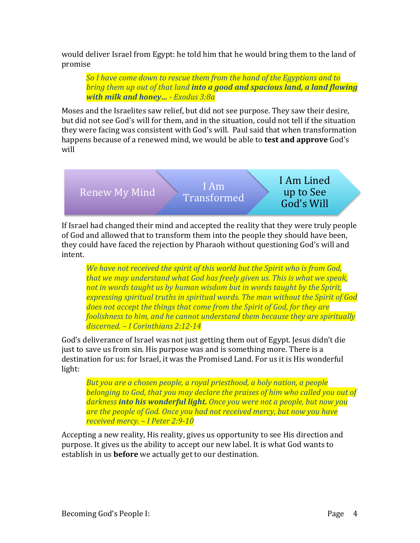would deliver Israel from Egypt: he told him that he would bring them to the land of promise

**So I have come down to rescue them from the hand of the Egyptians and to** *bring them up out of that land into a good and spacious land, a land flowing with milk and honey... - Exodus 3:8a* 

Moses and the Israelites saw relief, but did not see purpose. They saw their desire, but did not see God's will for them, and in the situation, could not tell if the situation they were facing was consistent with God's will. Paul said that when transformation happens because of a renewed mind, we would be able to **test and approve** God's will

Renew My Mind  $\sum_{\mathbf{R}}$  I Am Transformed I Am Lined up to See God's Will

If Israel had changed their mind and accepted the reality that they were truly people of God and allowed that to transform them into the people they should have been, they could have faced the rejection by Pharaoh without questioning God's will and intent. 

*We have not received the spirit of this world but the Spirit who is from God, that* we may understand what God has freely given us. This is what we speak, *not in words taught us by human wisdom but in words taught by the Spirit,* expressing spiritual truths in spiritual words. The man without the Spirit of God *does not accept the things that come from the Spirit of God, for they are foolishness to him, and he cannot understand them because they are spiritually discerned. – I Corinthians 2:12-14*

God's deliverance of Israel was not just getting them out of Egypt. Jesus didn't die just to save us from sin. His purpose was and is something more. There is a destination for us: for Israel, it was the Promised Land. For us it is His wonderful light:

*But you are a chosen people, a royal priesthood, a holy nation, a people belonging to God, that you may declare the praises of him who called you out of* darkness **into his wonderful light.** Once you were not a people, but now you are the people of God. Once you had not received mercy, but now you have *received mercy. – I Peter 2:9-10*

Accepting a new reality, His reality, gives us opportunity to see His direction and purpose. It gives us the ability to accept our new label. It is what God wants to establish in us **before** we actually get to our destination.